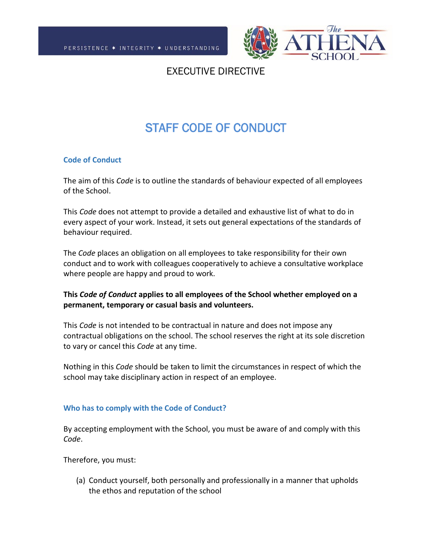

## EXECUTIVE DIRECTIVE

# STAFF CODE OF CONDUCT

## **Code of Conduct**

The aim of this *Code* is to outline the standards of behaviour expected of all employees of the School.

This *Code* does not attempt to provide a detailed and exhaustive list of what to do in every aspect of your work. Instead, it sets out general expectations of the standards of behaviour required.

The *Code* places an obligation on all employees to take responsibility for their own conduct and to work with colleagues cooperatively to achieve a consultative workplace where people are happy and proud to work.

## **This** *Code of Conduct* **applies to all employees of the School whether employed on a permanent, temporary or casual basis and volunteers.**

This *Code* is not intended to be contractual in nature and does not impose any contractual obligations on the school. The school reserves the right at its sole discretion to vary or cancel this *Code* at any time.

Nothing in this *Code* should be taken to limit the circumstances in respect of which the school may take disciplinary action in respect of an employee.

## **Who has to comply with the Code of Conduct?**

By accepting employment with the School, you must be aware of and comply with this *Code*.

Therefore, you must:

(a) Conduct yourself, both personally and professionally in a manner that upholds the ethos and reputation of the school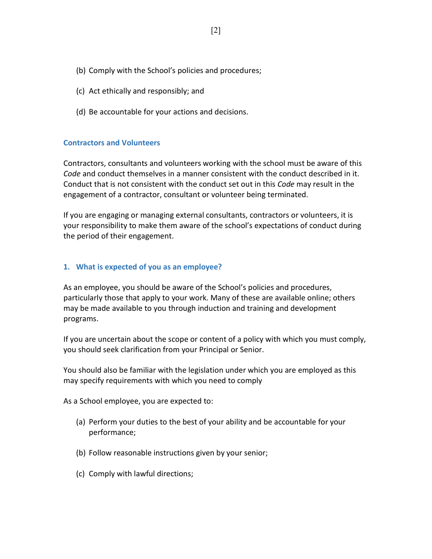- (b) Comply with the School's policies and procedures;
- (c) Act ethically and responsibly; and
- (d) Be accountable for your actions and decisions.

#### **Contractors and Volunteers**

Contractors, consultants and volunteers working with the school must be aware of this *Code* and conduct themselves in a manner consistent with the conduct described in it. Conduct that is not consistent with the conduct set out in this *Code* may result in the engagement of a contractor, consultant or volunteer being terminated.

If you are engaging or managing external consultants, contractors or volunteers, it is your responsibility to make them aware of the school's expectations of conduct during the period of their engagement.

#### **1. What is expected of you as an employee?**

As an employee, you should be aware of the School's policies and procedures, particularly those that apply to your work. Many of these are available online; others may be made available to you through induction and training and development programs.

If you are uncertain about the scope or content of a policy with which you must comply, you should seek clarification from your Principal or Senior.

You should also be familiar with the legislation under which you are employed as this may specify requirements with which you need to comply

As a School employee, you are expected to:

- (a) Perform your duties to the best of your ability and be accountable for your performance;
- (b) Follow reasonable instructions given by your senior;
- (c) Comply with lawful directions;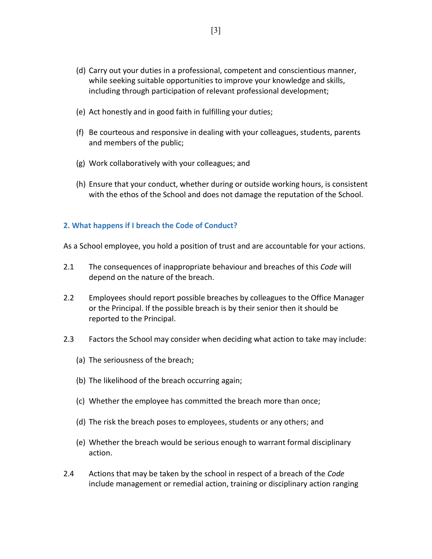- (d) Carry out your duties in a professional, competent and conscientious manner, while seeking suitable opportunities to improve your knowledge and skills, including through participation of relevant professional development;
- (e) Act honestly and in good faith in fulfilling your duties;
- (f) Be courteous and responsive in dealing with your colleagues, students, parents and members of the public;
- (g) Work collaboratively with your colleagues; and
- (h) Ensure that your conduct, whether during or outside working hours, is consistent with the ethos of the School and does not damage the reputation of the School.

## **2. What happens if I breach the Code of Conduct?**

As a School employee, you hold a position of trust and are accountable for your actions.

- 2.1 The consequences of inappropriate behaviour and breaches of this *Code* will depend on the nature of the breach.
- 2.2 Employees should report possible breaches by colleagues to the Office Manager or the Principal. If the possible breach is by their senior then it should be reported to the Principal.
- 2.3 Factors the School may consider when deciding what action to take may include:
	- (a) The seriousness of the breach;
	- (b) The likelihood of the breach occurring again;
	- (c) Whether the employee has committed the breach more than once;
	- (d) The risk the breach poses to employees, students or any others; and
	- (e) Whether the breach would be serious enough to warrant formal disciplinary action.
- 2.4 Actions that may be taken by the school in respect of a breach of the *Code* include management or remedial action, training or disciplinary action ranging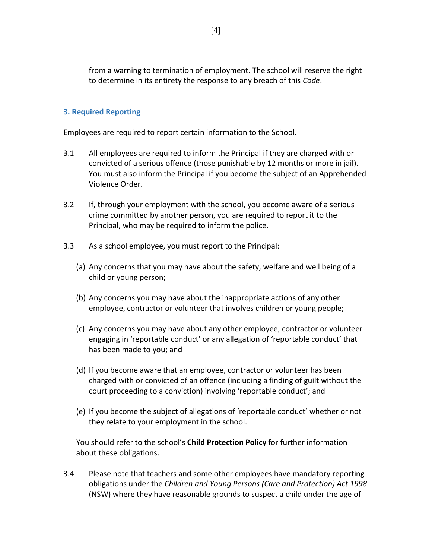from a warning to termination of employment. The school will reserve the right to determine in its entirety the response to any breach of this *Code*.

## **3. Required Reporting**

Employees are required to report certain information to the School.

- 3.1 All employees are required to inform the Principal if they are charged with or convicted of a serious offence (those punishable by 12 months or more in jail). You must also inform the Principal if you become the subject of an Apprehended Violence Order.
- 3.2 If, through your employment with the school, you become aware of a serious crime committed by another person, you are required to report it to the Principal, who may be required to inform the police.
- 3.3 As a school employee, you must report to the Principal:
	- (a) Any concerns that you may have about the safety, welfare and well being of a child or young person;
	- (b) Any concerns you may have about the inappropriate actions of any other employee, contractor or volunteer that involves children or young people;
	- (c) Any concerns you may have about any other employee, contractor or volunteer engaging in 'reportable conduct' or any allegation of 'reportable conduct' that has been made to you; and
	- (d) If you become aware that an employee, contractor or volunteer has been charged with or convicted of an offence (including a finding of guilt without the court proceeding to a conviction) involving 'reportable conduct'; and
	- (e) If you become the subject of allegations of 'reportable conduct' whether or not they relate to your employment in the school.

You should refer to the school's **Child Protection Policy** for further information about these obligations.

3.4 Please note that teachers and some other employees have mandatory reporting obligations under the *Children and Young Persons (Care and Protection) Act 1998* (NSW) where they have reasonable grounds to suspect a child under the age of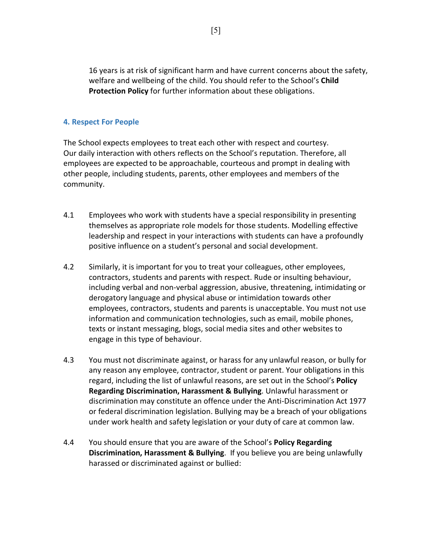16 years is at risk of significant harm and have current concerns about the safety, welfare and wellbeing of the child. You should refer to the School's **Child Protection Policy** for further information about these obligations.

## **4. Respect For People**

The School expects employees to treat each other with respect and courtesy. Our daily interaction with others reflects on the School's reputation. Therefore, all employees are expected to be approachable, courteous and prompt in dealing with other people, including students, parents, other employees and members of the community.

- 4.1 Employees who work with students have a special responsibility in presenting themselves as appropriate role models for those students. Modelling effective leadership and respect in your interactions with students can have a profoundly positive influence on a student's personal and social development.
- 4.2 Similarly, it is important for you to treat your colleagues, other employees, contractors, students and parents with respect. Rude or insulting behaviour, including verbal and non-verbal aggression, abusive, threatening, intimidating or derogatory language and physical abuse or intimidation towards other employees, contractors, students and parents is unacceptable. You must not use information and communication technologies, such as email, mobile phones, texts or instant messaging, blogs, social media sites and other websites to engage in this type of behaviour.
- 4.3 You must not discriminate against, or harass for any unlawful reason, or bully for any reason any employee, contractor, student or parent. Your obligations in this regard, including the list of unlawful reasons, are set out in the School's **Policy Regarding Discrimination, Harassment & Bullying**. Unlawful harassment or discrimination may constitute an offence under the Anti-Discrimination Act 1977 or federal discrimination legislation. Bullying may be a breach of your obligations under work health and safety legislation or your duty of care at common law.
- 4.4 You should ensure that you are aware of the School's **Policy Regarding Discrimination, Harassment & Bullying**. If you believe you are being unlawfully harassed or discriminated against or bullied: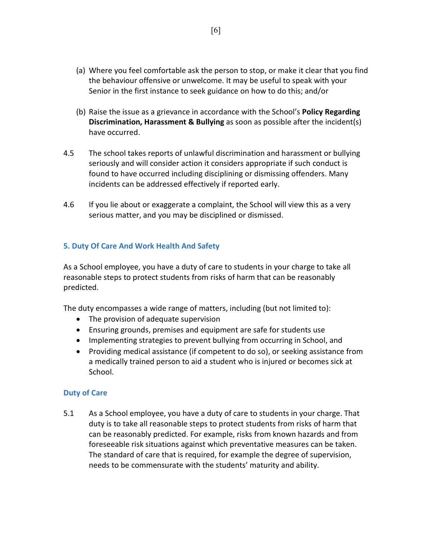- (a) Where you feel comfortable ask the person to stop, or make it clear that you find the behaviour offensive or unwelcome. It may be useful to speak with your Senior in the first instance to seek guidance on how to do this; and/or
- (b) Raise the issue as a grievance in accordance with the School's **Policy Regarding Discrimination, Harassment & Bullying** as soon as possible after the incident(s) have occurred.
- 4.5 The school takes reports of unlawful discrimination and harassment or bullying seriously and will consider action it considers appropriate if such conduct is found to have occurred including disciplining or dismissing offenders. Many incidents can be addressed effectively if reported early.
- 4.6 If you lie about or exaggerate a complaint, the School will view this as a very serious matter, and you may be disciplined or dismissed.

## **5. Duty Of Care And Work Health And Safety**

As a School employee, you have a duty of care to students in your charge to take all reasonable steps to protect students from risks of harm that can be reasonably predicted.

The duty encompasses a wide range of matters, including (but not limited to):

- The provision of adequate supervision
- Ensuring grounds, premises and equipment are safe for students use
- Implementing strategies to prevent bullying from occurring in School, and
- Providing medical assistance (if competent to do so), or seeking assistance from a medically trained person to aid a student who is injured or becomes sick at School.

## **Duty of Care**

5.1 As a School employee, you have a duty of care to students in your charge. That duty is to take all reasonable steps to protect students from risks of harm that can be reasonably predicted. For example, risks from known hazards and from foreseeable risk situations against which preventative measures can be taken. The standard of care that is required, for example the degree of supervision, needs to be commensurate with the students' maturity and ability.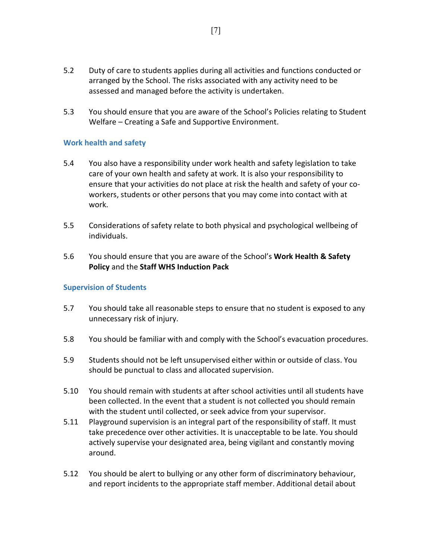- 5.2 Duty of care to students applies during all activities and functions conducted or arranged by the School. The risks associated with any activity need to be assessed and managed before the activity is undertaken.
- 5.3 You should ensure that you are aware of the School's Policies relating to Student Welfare – Creating a Safe and Supportive Environment.

## **Work health and safety**

- 5.4 You also have a responsibility under work health and safety legislation to take care of your own health and safety at work. It is also your responsibility to ensure that your activities do not place at risk the health and safety of your coworkers, students or other persons that you may come into contact with at work.
- 5.5 Considerations of safety relate to both physical and psychological wellbeing of individuals.
- 5.6 You should ensure that you are aware of the School's **Work Health & Safety Policy** and the **Staff WHS Induction Pack**

## **Supervision of Students**

- 5.7 You should take all reasonable steps to ensure that no student is exposed to any unnecessary risk of injury.
- 5.8 You should be familiar with and comply with the School's evacuation procedures.
- 5.9 Students should not be left unsupervised either within or outside of class. You should be punctual to class and allocated supervision.
- 5.10 You should remain with students at after school activities until all students have been collected. In the event that a student is not collected you should remain with the student until collected, or seek advice from your supervisor.
- 5.11 Playground supervision is an integral part of the responsibility of staff. It must take precedence over other activities. It is unacceptable to be late. You should actively supervise your designated area, being vigilant and constantly moving around.
- 5.12 You should be alert to bullying or any other form of discriminatory behaviour, and report incidents to the appropriate staff member. Additional detail about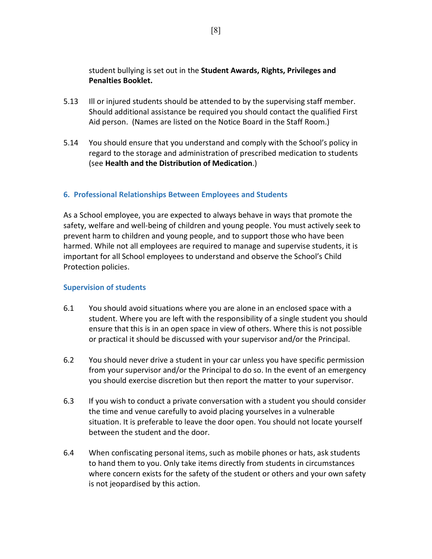student bullying is set out in the **Student Awards, Rights, Privileges and Penalties Booklet.**

- 5.13 Ill or injured students should be attended to by the supervising staff member. Should additional assistance be required you should contact the qualified First Aid person. (Names are listed on the Notice Board in the Staff Room.)
- 5.14 You should ensure that you understand and comply with the School's policy in regard to the storage and administration of prescribed medication to students (see **Health and the Distribution of Medication**.)

## **6. Professional Relationships Between Employees and Students**

As a School employee, you are expected to always behave in ways that promote the safety, welfare and well-being of children and young people. You must actively seek to prevent harm to children and young people, and to support those who have been harmed. While not all employees are required to manage and supervise students, it is important for all School employees to understand and observe the School's Child Protection policies.

## **Supervision of students**

- 6.1 You should avoid situations where you are alone in an enclosed space with a student. Where you are left with the responsibility of a single student you should ensure that this is in an open space in view of others. Where this is not possible or practical it should be discussed with your supervisor and/or the Principal.
- 6.2 You should never drive a student in your car unless you have specific permission from your supervisor and/or the Principal to do so. In the event of an emergency you should exercise discretion but then report the matter to your supervisor.
- 6.3 If you wish to conduct a private conversation with a student you should consider the time and venue carefully to avoid placing yourselves in a vulnerable situation. It is preferable to leave the door open. You should not locate yourself between the student and the door.
- 6.4 When confiscating personal items, such as mobile phones or hats, ask students to hand them to you. Only take items directly from students in circumstances where concern exists for the safety of the student or others and your own safety is not jeopardised by this action.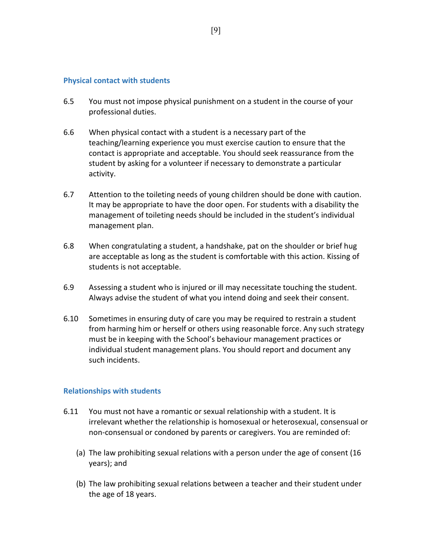#### **Physical contact with students**

- 6.5 You must not impose physical punishment on a student in the course of your professional duties.
- 6.6 When physical contact with a student is a necessary part of the teaching/learning experience you must exercise caution to ensure that the contact is appropriate and acceptable. You should seek reassurance from the student by asking for a volunteer if necessary to demonstrate a particular activity.
- 6.7 Attention to the toileting needs of young children should be done with caution. It may be appropriate to have the door open. For students with a disability the management of toileting needs should be included in the student's individual management plan.
- 6.8 When congratulating a student, a handshake, pat on the shoulder or brief hug are acceptable as long as the student is comfortable with this action. Kissing of students is not acceptable.
- 6.9 Assessing a student who is injured or ill may necessitate touching the student. Always advise the student of what you intend doing and seek their consent.
- 6.10 Sometimes in ensuring duty of care you may be required to restrain a student from harming him or herself or others using reasonable force. Any such strategy must be in keeping with the School's behaviour management practices or individual student management plans. You should report and document any such incidents.

#### **Relationships with students**

- 6.11 You must not have a romantic or sexual relationship with a student. It is irrelevant whether the relationship is homosexual or heterosexual, consensual or non-consensual or condoned by parents or caregivers. You are reminded of:
	- (a) The law prohibiting sexual relations with a person under the age of consent (16 years); and
	- (b) The law prohibiting sexual relations between a teacher and their student under the age of 18 years.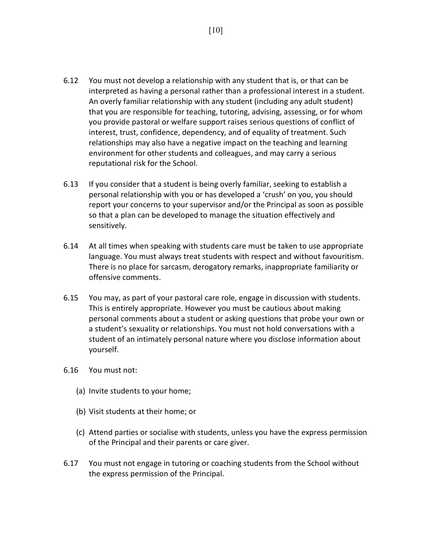- 6.12 You must not develop a relationship with any student that is, or that can be interpreted as having a personal rather than a professional interest in a student. An overly familiar relationship with any student (including any adult student) that you are responsible for teaching, tutoring, advising, assessing, or for whom you provide pastoral or welfare support raises serious questions of conflict of interest, trust, confidence, dependency, and of equality of treatment. Such relationships may also have a negative impact on the teaching and learning environment for other students and colleagues, and may carry a serious reputational risk for the School.
- 6.13 If you consider that a student is being overly familiar, seeking to establish a personal relationship with you or has developed a 'crush' on you, you should report your concerns to your supervisor and/or the Principal as soon as possible so that a plan can be developed to manage the situation effectively and sensitively.
- 6.14 At all times when speaking with students care must be taken to use appropriate language. You must always treat students with respect and without favouritism. There is no place for sarcasm, derogatory remarks, inappropriate familiarity or offensive comments.
- 6.15 You may, as part of your pastoral care role, engage in discussion with students. This is entirely appropriate. However you must be cautious about making personal comments about a student or asking questions that probe your own or a student's sexuality or relationships. You must not hold conversations with a student of an intimately personal nature where you disclose information about yourself.
- 6.16 You must not:
	- (a) Invite students to your home;
	- (b) Visit students at their home; or
	- (c) Attend parties or socialise with students, unless you have the express permission of the Principal and their parents or care giver.
- 6.17 You must not engage in tutoring or coaching students from the School without the express permission of the Principal.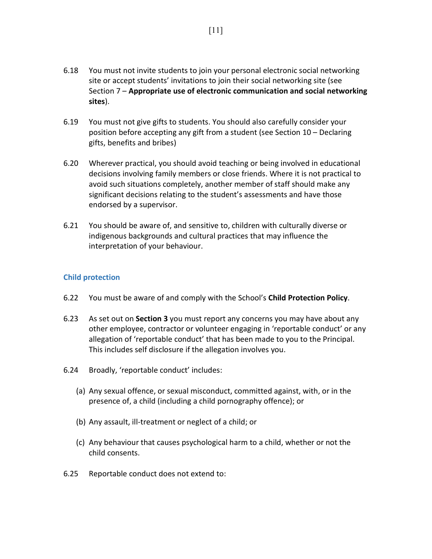- 6.18 You must not invite students to join your personal electronic social networking site or accept students' invitations to join their social networking site (see Section 7 – **Appropriate use of electronic communication and social networking sites**).
- 6.19 You must not give gifts to students. You should also carefully consider your position before accepting any gift from a student (see Section 10 – Declaring gifts, benefits and bribes)
- 6.20 Wherever practical, you should avoid teaching or being involved in educational decisions involving family members or close friends. Where it is not practical to avoid such situations completely, another member of staff should make any significant decisions relating to the student's assessments and have those endorsed by a supervisor.
- 6.21 You should be aware of, and sensitive to, children with culturally diverse or indigenous backgrounds and cultural practices that may influence the interpretation of your behaviour.

## **Child protection**

- 6.22 You must be aware of and comply with the School's **Child Protection Policy**.
- 6.23 As set out on **Section 3** you must report any concerns you may have about any other employee, contractor or volunteer engaging in 'reportable conduct' or any allegation of 'reportable conduct' that has been made to you to the Principal. This includes self disclosure if the allegation involves you.
- 6.24 Broadly, 'reportable conduct' includes:
	- (a) Any sexual offence, or sexual misconduct, committed against, with, or in the presence of, a child (including a child pornography offence); or
	- (b) Any assault, ill-treatment or neglect of a child; or
	- (c) Any behaviour that causes psychological harm to a child, whether or not the child consents.
- 6.25 Reportable conduct does not extend to: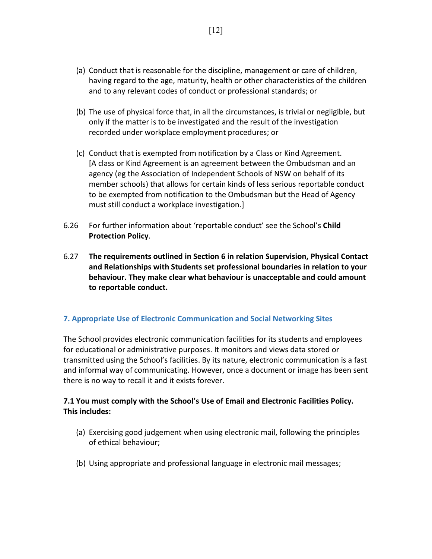- (a) Conduct that is reasonable for the discipline, management or care of children, having regard to the age, maturity, health or other characteristics of the children and to any relevant codes of conduct or professional standards; or
- (b) The use of physical force that, in all the circumstances, is trivial or negligible, but only if the matter is to be investigated and the result of the investigation recorded under workplace employment procedures; or
- (c) Conduct that is exempted from notification by a Class or Kind Agreement. [A class or Kind Agreement is an agreement between the Ombudsman and an agency (eg the Association of Independent Schools of NSW on behalf of its member schools) that allows for certain kinds of less serious reportable conduct to be exempted from notification to the Ombudsman but the Head of Agency must still conduct a workplace investigation.]
- 6.26 For further information about 'reportable conduct' see the School's **Child Protection Policy**.
- 6.27 **The requirements outlined in Section 6 in relation Supervision, Physical Contact and Relationships with Students set professional boundaries in relation to your behaviour. They make clear what behaviour is unacceptable and could amount to reportable conduct.**

## **7. Appropriate Use of Electronic Communication and Social Networking Sites**

The School provides electronic communication facilities for its students and employees for educational or administrative purposes. It monitors and views data stored or transmitted using the School's facilities. By its nature, electronic communication is a fast and informal way of communicating. However, once a document or image has been sent there is no way to recall it and it exists forever.

## **7.1 You must comply with the School's Use of Email and Electronic Facilities Policy. This includes:**

- (a) Exercising good judgement when using electronic mail, following the principles of ethical behaviour;
- (b) Using appropriate and professional language in electronic mail messages;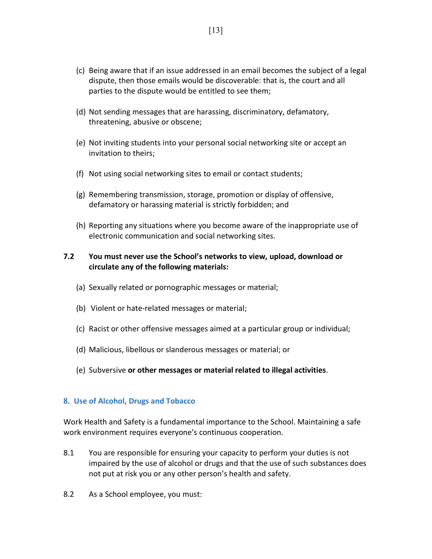- (c) Being aware that if an issue addressed in an email becomes the subject of a legal dispute, then those emails would be discoverable: that is, the court and all parties to the dispute would be entitled to see them;
- (d) Not sending messages that are harassing, discriminatory, defamatory, threatening, abusive or obscene;
- (e) Not inviting students into your personal social networking site or accept an invitation to theirs;
- (f) Not using social networking sites to email or contact students;
- (g) Remembering transmission, storage, promotion or display of offensive, defamatory or harassing material is strictly forbidden; and
- (h) Reporting any situations where you become aware of the inappropriate use of electronic communication and social networking sites.

## **7.2 You must never use the School's networks to view, upload, download or circulate any of the following materials:**

- (a) Sexually related or pornographic messages or material;
- (b) Violent or hate-related messages or material;
- (c) Racist or other offensive messages aimed at a particular group or individual;
- (d) Malicious, libellous or slanderous messages or material; or
- (e) Subversive **or other messages or material related to illegal activities**.

## **8. Use of Alcohol, Drugs and Tobacco**

Work Health and Safety is a fundamental importance to the School. Maintaining a safe work environment requires everyone's continuous cooperation.

- 8.1 You are responsible for ensuring your capacity to perform your duties is not impaired by the use of alcohol or drugs and that the use of such substances does not put at risk you or any other person's health and safety.
- 8.2 As a School employee, you must: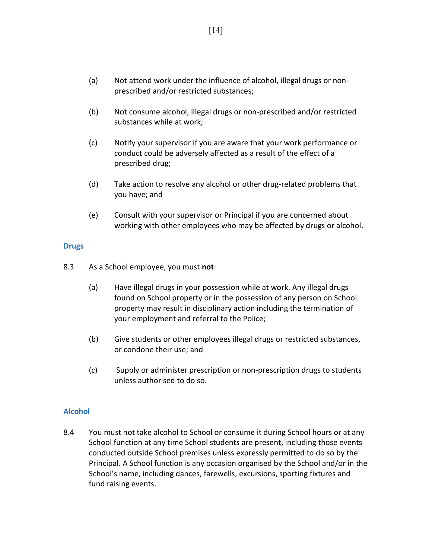- (a) Not attend work under the influence of alcohol, illegal drugs or nonprescribed and/or restricted substances;
- (b) Not consume alcohol, illegal drugs or non-prescribed and/or restricted substances while at work;
- (c) Notify your supervisor if you are aware that your work performance or conduct could be adversely affected as a result of the effect of a prescribed drug;
- (d) Take action to resolve any alcohol or other drug-related problems that you have; and
- (e) Consult with your supervisor or Principal if you are concerned about working with other employees who may be affected by drugs or alcohol.

#### **Drugs**

- 8.3 As a School employee, you must **not**:
	- (a) Have illegal drugs in your possession while at work. Any illegal drugs found on School property or in the possession of any person on School property may result in disciplinary action including the termination of your employment and referral to the Police;
	- (b) Give students or other employees illegal drugs or restricted substances, or condone their use; and
	- (c) Supply or administer prescription or non-prescription drugs to students unless authorised to do so.

## **Alcohol**

8.4 You must not take alcohol to School or consume it during School hours or at any School function at any time School students are present, including those events conducted outside School premises unless expressly permitted to do so by the Principal. A School function is any occasion organised by the School and/or in the School's name, including dances, farewells, excursions, sporting fixtures and fund raising events.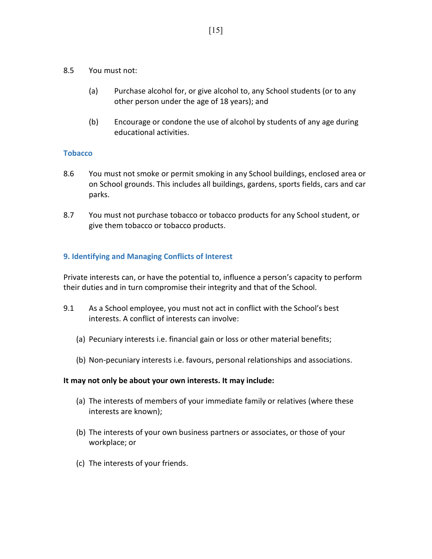- 8.5 You must not:
	- (a) Purchase alcohol for, or give alcohol to, any School students (or to any other person under the age of 18 years); and
	- (b) Encourage or condone the use of alcohol by students of any age during educational activities.

## **Tobacco**

- 8.6 You must not smoke or permit smoking in any School buildings, enclosed area or on School grounds. This includes all buildings, gardens, sports fields, cars and car parks.
- 8.7 You must not purchase tobacco or tobacco products for any School student, or give them tobacco or tobacco products.

## **9. Identifying and Managing Conflicts of Interest**

Private interests can, or have the potential to, influence a person's capacity to perform their duties and in turn compromise their integrity and that of the School.

- 9.1 As a School employee, you must not act in conflict with the School's best interests. A conflict of interests can involve:
	- (a) Pecuniary interests i.e. financial gain or loss or other material benefits;
	- (b) Non-pecuniary interests i.e. favours, personal relationships and associations.

#### **It may not only be about your own interests. It may include:**

- (a) The interests of members of your immediate family or relatives (where these interests are known);
- (b) The interests of your own business partners or associates, or those of your workplace; or
- (c) The interests of your friends.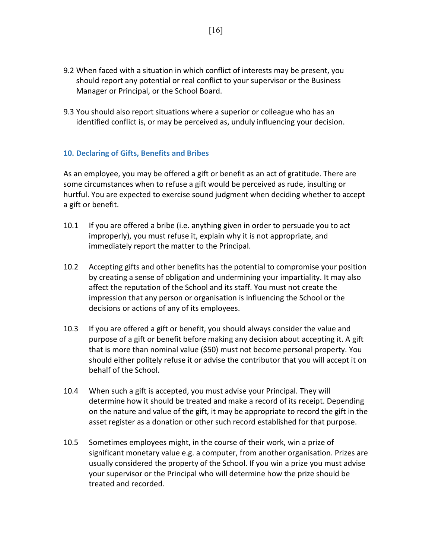- 9.2 When faced with a situation in which conflict of interests may be present, you should report any potential or real conflict to your supervisor or the Business Manager or Principal, or the School Board.
- 9.3 You should also report situations where a superior or colleague who has an identified conflict is, or may be perceived as, unduly influencing your decision.

## **10. Declaring of Gifts, Benefits and Bribes**

As an employee, you may be offered a gift or benefit as an act of gratitude. There are some circumstances when to refuse a gift would be perceived as rude, insulting or hurtful. You are expected to exercise sound judgment when deciding whether to accept a gift or benefit.

- 10.1 If you are offered a bribe (i.e. anything given in order to persuade you to act improperly), you must refuse it, explain why it is not appropriate, and immediately report the matter to the Principal.
- 10.2 Accepting gifts and other benefits has the potential to compromise your position by creating a sense of obligation and undermining your impartiality. It may also affect the reputation of the School and its staff. You must not create the impression that any person or organisation is influencing the School or the decisions or actions of any of its employees.
- 10.3 If you are offered a gift or benefit, you should always consider the value and purpose of a gift or benefit before making any decision about accepting it. A gift that is more than nominal value (\$50) must not become personal property. You should either politely refuse it or advise the contributor that you will accept it on behalf of the School.
- 10.4 When such a gift is accepted, you must advise your Principal. They will determine how it should be treated and make a record of its receipt. Depending on the nature and value of the gift, it may be appropriate to record the gift in the asset register as a donation or other such record established for that purpose.
- 10.5 Sometimes employees might, in the course of their work, win a prize of significant monetary value e.g. a computer, from another organisation. Prizes are usually considered the property of the School. If you win a prize you must advise your supervisor or the Principal who will determine how the prize should be treated and recorded.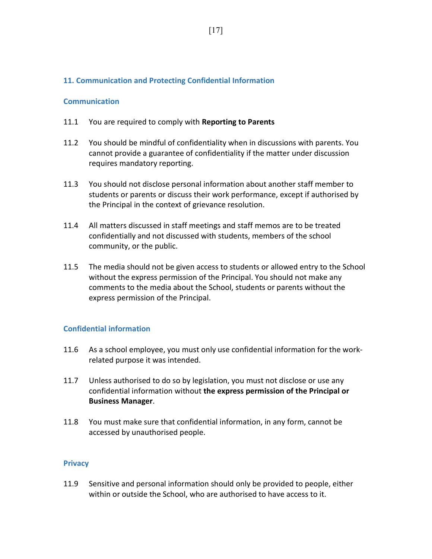## **11. Communication and Protecting Confidential Information**

#### **Communication**

- 11.1 You are required to comply with **Reporting to Parents**
- 11.2 You should be mindful of confidentiality when in discussions with parents. You cannot provide a guarantee of confidentiality if the matter under discussion requires mandatory reporting.
- 11.3 You should not disclose personal information about another staff member to students or parents or discuss their work performance, except if authorised by the Principal in the context of grievance resolution.
- 11.4 All matters discussed in staff meetings and staff memos are to be treated confidentially and not discussed with students, members of the school community, or the public.
- 11.5 The media should not be given access to students or allowed entry to the School without the express permission of the Principal. You should not make any comments to the media about the School, students or parents without the express permission of the Principal.

## **Confidential information**

- 11.6 As a school employee, you must only use confidential information for the workrelated purpose it was intended.
- 11.7 Unless authorised to do so by legislation, you must not disclose or use any confidential information without **the express permission of the Principal or Business Manager**.
- 11.8 You must make sure that confidential information, in any form, cannot be accessed by unauthorised people.

## **Privacy**

11.9 Sensitive and personal information should only be provided to people, either within or outside the School, who are authorised to have access to it.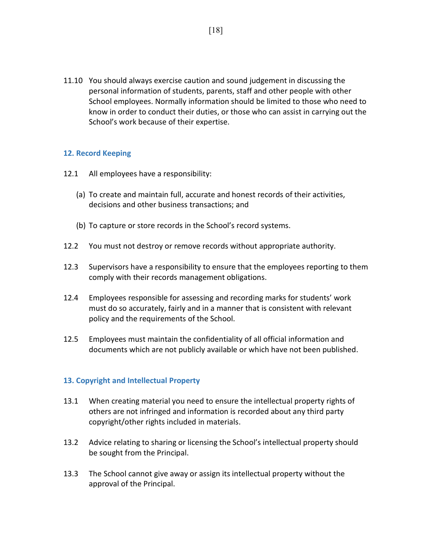11.10 You should always exercise caution and sound judgement in discussing the personal information of students, parents, staff and other people with other School employees. Normally information should be limited to those who need to know in order to conduct their duties, or those who can assist in carrying out the School's work because of their expertise.

## **12. Record Keeping**

- 12.1 All employees have a responsibility:
	- (a) To create and maintain full, accurate and honest records of their activities, decisions and other business transactions; and
	- (b) To capture or store records in the School's record systems.
- 12.2 You must not destroy or remove records without appropriate authority.
- 12.3 Supervisors have a responsibility to ensure that the employees reporting to them comply with their records management obligations.
- 12.4 Employees responsible for assessing and recording marks for students' work must do so accurately, fairly and in a manner that is consistent with relevant policy and the requirements of the School.
- 12.5 Employees must maintain the confidentiality of all official information and documents which are not publicly available or which have not been published.

## **13. Copyright and Intellectual Property**

- 13.1 When creating material you need to ensure the intellectual property rights of others are not infringed and information is recorded about any third party copyright/other rights included in materials.
- 13.2 Advice relating to sharing or licensing the School's intellectual property should be sought from the Principal.
- 13.3 The School cannot give away or assign its intellectual property without the approval of the Principal.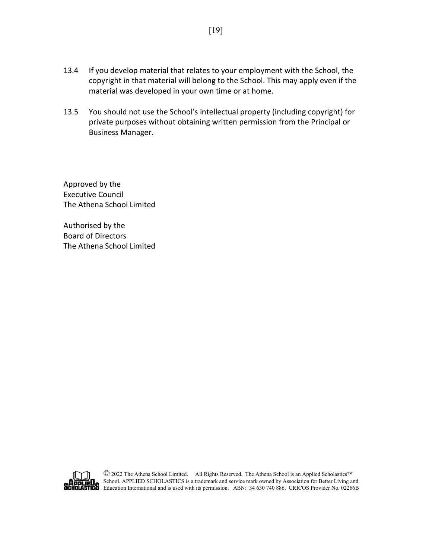- 13.4 If you develop material that relates to your employment with the School, the copyright in that material will belong to the School. This may apply even if the material was developed in your own time or at home.
- 13.5 You should not use the School's intellectual property (including copyright) for private purposes without obtaining written permission from the Principal or Business Manager.

Approved by the Executive Council The Athena School Limited

Authorised by the Board of Directors The Athena School Limited



© <sup>2022</sup> The Athena School Limited. All Rights Reserved. The Athena School is an Applied Scholastics™ School. APPLIED SCHOLASTICS is a trademark and service mark owned by Association for Better Living and EU<sub>C</sub> School. APPLIED SCHOLASTICS is a unucluate and served main struck by construction.<br>TIEU Education International and is used with its permission. ABN: 34 630 740 886. CRICOS Provider No. 02266B